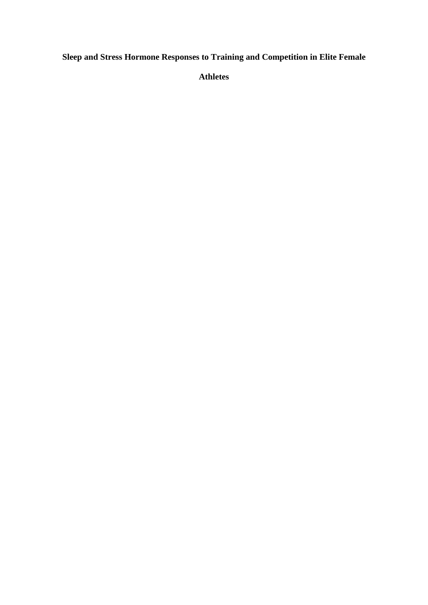**Sleep and Stress Hormone Responses to Training and Competition in Elite Female** 

**Athletes**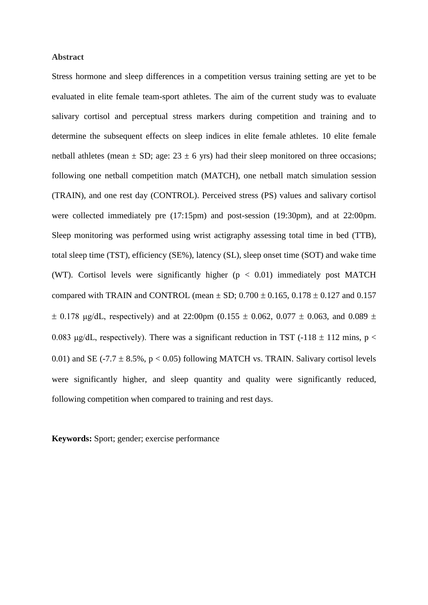### **Abstract**

Stress hormone and sleep differences in a competition versus training setting are yet to be evaluated in elite female team-sport athletes. The aim of the current study was to evaluate salivary cortisol and perceptual stress markers during competition and training and to determine the subsequent effects on sleep indices in elite female athletes. 10 elite female netball athletes (mean  $\pm$  SD; age: 23  $\pm$  6 yrs) had their sleep monitored on three occasions; following one netball competition match (MATCH), one netball match simulation session (TRAIN), and one rest day (CONTROL). Perceived stress (PS) values and salivary cortisol were collected immediately pre (17:15pm) and post-session (19:30pm), and at 22:00pm. Sleep monitoring was performed using wrist actigraphy assessing total time in bed (TTB), total sleep time (TST), efficiency (SE%), latency (SL), sleep onset time (SOT) and wake time (WT). Cortisol levels were significantly higher  $(p < 0.01)$  immediately post MATCH compared with TRAIN and CONTROL (mean  $\pm$  SD; 0.700  $\pm$  0.165, 0.178  $\pm$  0.127 and 0.157  $\pm$  0.178 μg/dL, respectively) and at 22:00pm (0.155  $\pm$  0.062, 0.077  $\pm$  0.063, and 0.089  $\pm$ 0.083 μg/dL, respectively). There was a significant reduction in TST (-118  $\pm$  112 mins, p < 0.01) and SE (-7.7  $\pm$  8.5%, p < 0.05) following MATCH vs. TRAIN. Salivary cortisol levels were significantly higher, and sleep quantity and quality were significantly reduced, following competition when compared to training and rest days.

**Keywords:** Sport; gender; exercise performance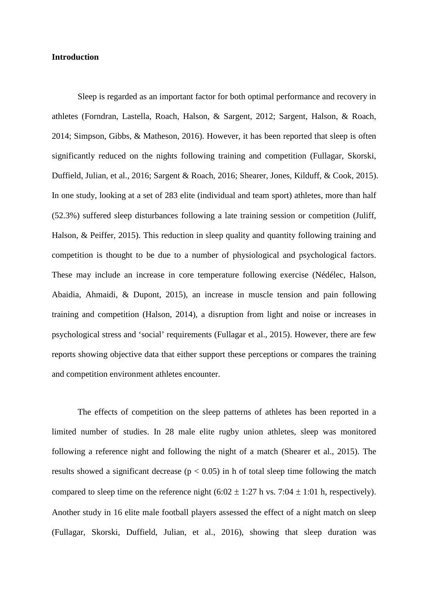### **Introduction**

Sleep is regarded as an important factor for both optimal performance and recovery in athletes (Forndran, Lastella, Roach, Halson, & Sargent, 2012; Sargent, Halson, & Roach, 2014; Simpson, Gibbs, & Matheson, 2016). However, it has been reported that sleep is often significantly reduced on the nights following training and competition (Fullagar, Skorski, Duffield, Julian, et al., 2016; Sargent & Roach, 2016; Shearer, Jones, Kilduff, & Cook, 2015). In one study, looking at a set of 283 elite (individual and team sport) athletes, more than half (52.3%) suffered sleep disturbances following a late training session or competition (Juliff, Halson, & Peiffer, 2015). This reduction in sleep quality and quantity following training and competition is thought to be due to a number of physiological and psychological factors. These may include an increase in core temperature following exercise (Nédélec, Halson, Abaidia, Ahmaidi, & Dupont, 2015), an increase in muscle tension and pain following training and competition (Halson, 2014), a disruption from light and noise or increases in psychological stress and 'social' requirements (Fullagar et al., 2015). However, there are few reports showing objective data that either support these perceptions or compares the training and competition environment athletes encounter.

The effects of competition on the sleep patterns of athletes has been reported in a limited number of studies. In 28 male elite rugby union athletes, sleep was monitored following a reference night and following the night of a match (Shearer et al., 2015). The results showed a significant decrease ( $p < 0.05$ ) in h of total sleep time following the match compared to sleep time on the reference night  $(6:02 \pm 1:27 \text{ h vs. } 7:04 \pm 1:01 \text{ h, respectively})$ . Another study in 16 elite male football players assessed the effect of a night match on sleep (Fullagar, Skorski, Duffield, Julian, et al., 2016), showing that sleep duration was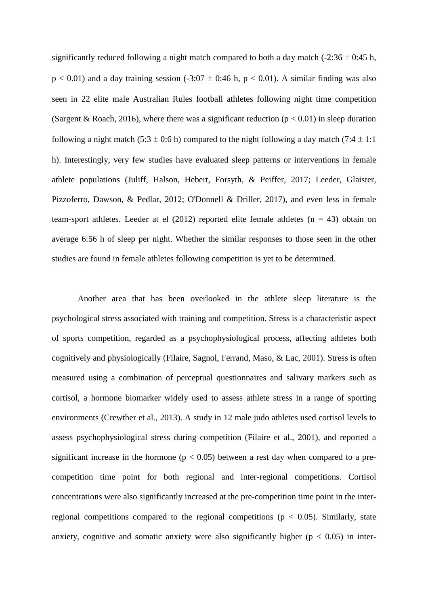significantly reduced following a night match compared to both a day match  $(-2:36 \pm 0:45)$  h,  $p < 0.01$ ) and a day training session (-3:07  $\pm$  0:46 h, p < 0.01). A similar finding was also seen in 22 elite male Australian Rules football athletes following night time competition (Sargent & Roach, 2016), where there was a significant reduction ( $p < 0.01$ ) in sleep duration following a night match (5:3  $\pm$  0:6 h) compared to the night following a day match (7:4  $\pm$  1:1 h). Interestingly, very few studies have evaluated sleep patterns or interventions in female athlete populations (Juliff, Halson, Hebert, Forsyth, & Peiffer, 2017; Leeder, Glaister, Pizzoferro, Dawson, & Pedlar, 2012; O'Donnell & Driller, 2017), and even less in female team-sport athletes. Leeder at el  $(2012)$  reported elite female athletes  $(n = 43)$  obtain on average 6:56 h of sleep per night. Whether the similar responses to those seen in the other studies are found in female athletes following competition is yet to be determined.

Another area that has been overlooked in the athlete sleep literature is the psychological stress associated with training and competition. Stress is a characteristic aspect of sports competition, regarded as a psychophysiological process, affecting athletes both cognitively and physiologically (Filaire, Sagnol, Ferrand, Maso, & Lac, 2001). Stress is often measured using a combination of perceptual questionnaires and salivary markers such as cortisol, a hormone biomarker widely used to assess athlete stress in a range of sporting environments (Crewther et al., 2013). A study in 12 male judo athletes used cortisol levels to assess psychophysiological stress during competition (Filaire et al., 2001), and reported a significant increase in the hormone ( $p < 0.05$ ) between a rest day when compared to a precompetition time point for both regional and inter-regional competitions. Cortisol concentrations were also significantly increased at the pre-competition time point in the interregional competitions compared to the regional competitions ( $p < 0.05$ ). Similarly, state anxiety, cognitive and somatic anxiety were also significantly higher ( $p < 0.05$ ) in inter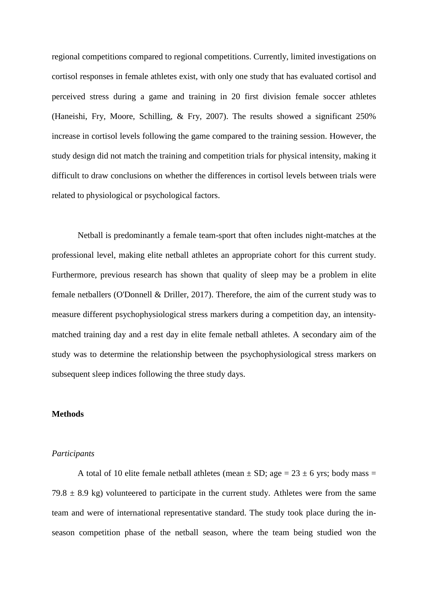regional competitions compared to regional competitions. Currently, limited investigations on cortisol responses in female athletes exist, with only one study that has evaluated cortisol and perceived stress during a game and training in 20 first division female soccer athletes (Haneishi, Fry, Moore, Schilling, & Fry, 2007). The results showed a significant 250% increase in cortisol levels following the game compared to the training session. However, the study design did not match the training and competition trials for physical intensity, making it difficult to draw conclusions on whether the differences in cortisol levels between trials were related to physiological or psychological factors.

Netball is predominantly a female team-sport that often includes night-matches at the professional level, making elite netball athletes an appropriate cohort for this current study. Furthermore, previous research has shown that quality of sleep may be a problem in elite female netballers (O'Donnell & Driller, 2017). Therefore, the aim of the current study was to measure different psychophysiological stress markers during a competition day, an intensitymatched training day and a rest day in elite female netball athletes. A secondary aim of the study was to determine the relationship between the psychophysiological stress markers on subsequent sleep indices following the three study days.

#### **Methods**

#### *Participants*

A total of 10 elite female netball athletes (mean  $\pm$  SD; age = 23  $\pm$  6 yrs; body mass = 79.8  $\pm$  8.9 kg) volunteered to participate in the current study. Athletes were from the same team and were of international representative standard. The study took place during the inseason competition phase of the netball season, where the team being studied won the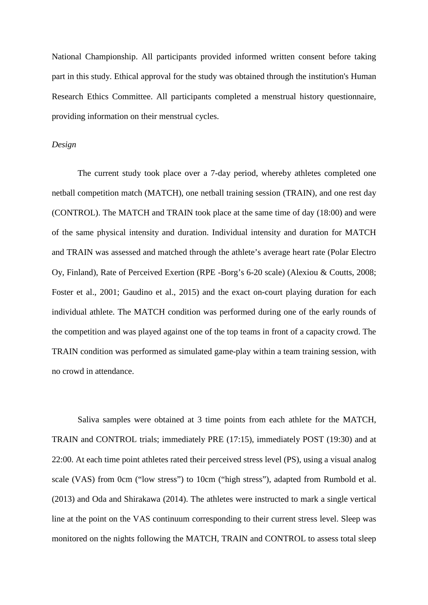National Championship. All participants provided informed written consent before taking part in this study. Ethical approval for the study was obtained through the institution's Human Research Ethics Committee. All participants completed a menstrual history questionnaire, providing information on their menstrual cycles.

### *Design*

The current study took place over a 7-day period, whereby athletes completed one netball competition match (MATCH), one netball training session (TRAIN), and one rest day (CONTROL). The MATCH and TRAIN took place at the same time of day (18:00) and were of the same physical intensity and duration. Individual intensity and duration for MATCH and TRAIN was assessed and matched through the athlete's average heart rate (Polar Electro Oy, Finland), Rate of Perceived Exertion (RPE -Borg's 6-20 scale) (Alexiou & Coutts, 2008; Foster et al., 2001; Gaudino et al., 2015) and the exact on-court playing duration for each individual athlete. The MATCH condition was performed during one of the early rounds of the competition and was played against one of the top teams in front of a capacity crowd. The TRAIN condition was performed as simulated game-play within a team training session, with no crowd in attendance.

Saliva samples were obtained at 3 time points from each athlete for the MATCH, TRAIN and CONTROL trials; immediately PRE (17:15), immediately POST (19:30) and at 22:00. At each time point athletes rated their perceived stress level (PS), using a visual analog scale (VAS) from 0cm ("low stress") to 10cm ("high stress"), adapted from Rumbold et al. (2013) and Oda and Shirakawa (2014). The athletes were instructed to mark a single vertical line at the point on the VAS continuum corresponding to their current stress level. Sleep was monitored on the nights following the MATCH, TRAIN and CONTROL to assess total sleep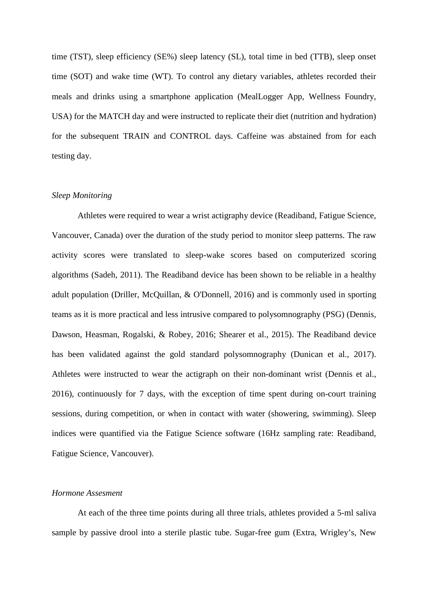time (TST), sleep efficiency (SE%) sleep latency (SL), total time in bed (TTB), sleep onset time (SOT) and wake time (WT). To control any dietary variables, athletes recorded their meals and drinks using a smartphone application (MealLogger App, Wellness Foundry, USA) for the MATCH day and were instructed to replicate their diet (nutrition and hydration) for the subsequent TRAIN and CONTROL days. Caffeine was abstained from for each testing day.

#### *Sleep Monitoring*

Athletes were required to wear a wrist actigraphy device (Readiband, Fatigue Science, Vancouver, Canada) over the duration of the study period to monitor sleep patterns. The raw activity scores were translated to sleep-wake scores based on computerized scoring algorithms (Sadeh, 2011). The Readiband device has been shown to be reliable in a healthy adult population (Driller, McQuillan, & O'Donnell, 2016) and is commonly used in sporting teams as it is more practical and less intrusive compared to polysomnography (PSG) (Dennis, Dawson, Heasman, Rogalski, & Robey, 2016; Shearer et al., 2015). The Readiband device has been validated against the gold standard polysomnography (Dunican et al., 2017). Athletes were instructed to wear the actigraph on their non-dominant wrist (Dennis et al., 2016), continuously for 7 days, with the exception of time spent during on-court training sessions, during competition, or when in contact with water (showering, swimming). Sleep indices were quantified via the Fatigue Science software (16Hz sampling rate: Readiband, Fatigue Science, Vancouver).

## *Hormone Assesment*

At each of the three time points during all three trials, athletes provided a 5-ml saliva sample by passive drool into a sterile plastic tube. Sugar-free gum (Extra, Wrigley's, New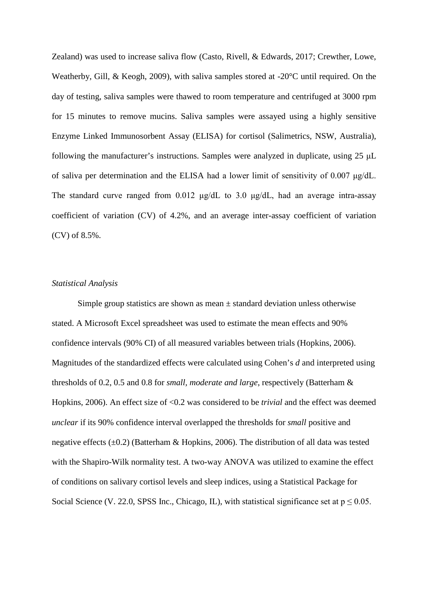Zealand) was used to increase saliva flow (Casto, Rivell, & Edwards, 2017; Crewther, Lowe, Weatherby, Gill, & Keogh, 2009), with saliva samples stored at -20°C until required. On the day of testing, saliva samples were thawed to room temperature and centrifuged at 3000 rpm for 15 minutes to remove mucins. Saliva samples were assayed using a highly sensitive Enzyme Linked Immunosorbent Assay (ELISA) for cortisol (Salimetrics, NSW, Australia), following the manufacturer's instructions. Samples were analyzed in duplicate, using 25 μL of saliva per determination and the ELISA had a lower limit of sensitivity of 0.007 μg/dL. The standard curve ranged from 0.012 μg/dL to 3.0 μg/dL, had an average intra-assay coefficient of variation (CV) of 4.2%, and an average inter-assay coefficient of variation (CV) of 8.5%.

### *Statistical Analysis*

Simple group statistics are shown as mean  $\pm$  standard deviation unless otherwise stated. A Microsoft Excel spreadsheet was used to estimate the mean effects and 90% confidence intervals (90% CI) of all measured variables between trials (Hopkins, 2006). Magnitudes of the standardized effects were calculated using Cohen's *d* and interpreted using thresholds of 0.2, 0.5 and 0.8 for *small, moderate and large*, respectively (Batterham & Hopkins, 2006). An effect size of <0.2 was considered to be *trivial* and the effect was deemed *unclear* if its 90% confidence interval overlapped the thresholds for *small* positive and negative effects  $(\pm 0.2)$  (Batterham & Hopkins, 2006). The distribution of all data was tested with the Shapiro-Wilk normality test. A two-way ANOVA was utilized to examine the effect of conditions on salivary cortisol levels and sleep indices, using a Statistical Package for Social Science (V. 22.0, SPSS Inc., Chicago, IL), with statistical significance set at  $p \le 0.05$ .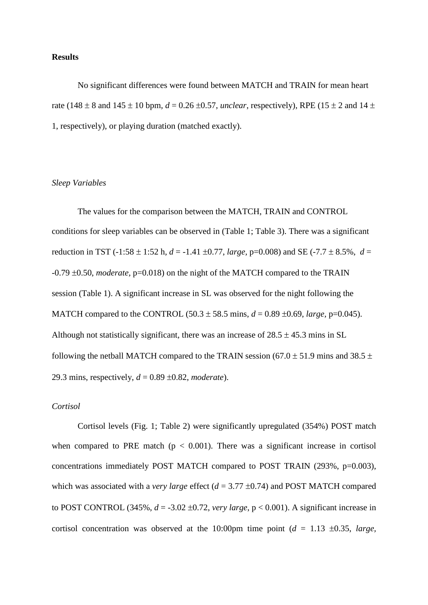#### **Results**

No significant differences were found between MATCH and TRAIN for mean heart rate (148  $\pm$  8 and 145  $\pm$  10 bpm,  $d = 0.26 \pm 0.57$ , *unclear*, respectively), RPE (15  $\pm$  2 and 14  $\pm$ 1, respectively), or playing duration (matched exactly).

## *Sleep Variables*

The values for the comparison between the MATCH, TRAIN and CONTROL conditions for sleep variables can be observed in (Table 1; Table 3). There was a significant reduction in TST (-1:58  $\pm$  1:52 h, *d* = -1.41  $\pm$ 0.77, *large*, p=0.008) and SE (-7.7  $\pm$  8.5%, *d* = -0.79 ±0.50, *moderate,* p=0.018) on the night of the MATCH compared to the TRAIN session (Table 1). A significant increase in SL was observed for the night following the MATCH compared to the CONTROL  $(50.3 \pm 58.5 \text{ mins}, d = 0.89 \pm 0.69, \text{large}, \text{p=0.045}).$ Although not statistically significant, there was an increase of  $28.5 \pm 45.3$  mins in SL following the netball MATCH compared to the TRAIN session (67.0  $\pm$  51.9 mins and 38.5  $\pm$ 29.3 mins, respectively, *d* = 0.89 ±0.82, *moderate*).

# *Cortisol*

Cortisol levels (Fig. 1; Table 2) were significantly upregulated (354%) POST match when compared to PRE match ( $p < 0.001$ ). There was a significant increase in cortisol concentrations immediately POST MATCH compared to POST TRAIN (293%, p=0.003), which was associated with a *very large* effect (*d* = 3.77 ±0.74) and POST MATCH compared to POST CONTROL (345%,  $d = -3.02 \pm 0.72$ , *very large*,  $p < 0.001$ ). A significant increase in cortisol concentration was observed at the 10:00pm time point  $(d = 1.13 \pm 0.35, \text{ large})$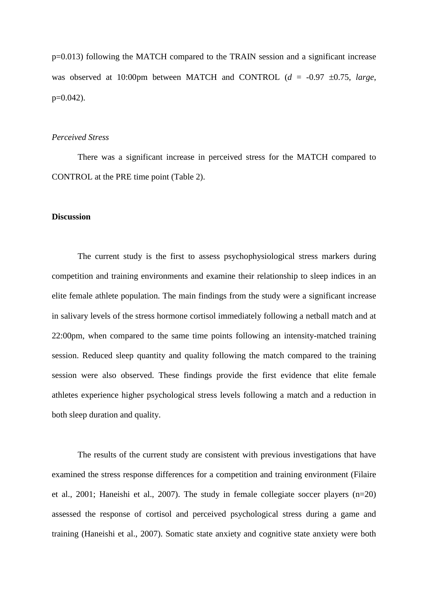p=0.013) following the MATCH compared to the TRAIN session and a significant increase was observed at 10:00pm between MATCH and CONTROL (*d* = -0.97 ±0.75, *large*,  $p=0.042$ ).

# *Perceived Stress*

There was a significant increase in perceived stress for the MATCH compared to CONTROL at the PRE time point (Table 2).

### **Discussion**

The current study is the first to assess psychophysiological stress markers during competition and training environments and examine their relationship to sleep indices in an elite female athlete population. The main findings from the study were a significant increase in salivary levels of the stress hormone cortisol immediately following a netball match and at 22:00pm, when compared to the same time points following an intensity-matched training session. Reduced sleep quantity and quality following the match compared to the training session were also observed. These findings provide the first evidence that elite female athletes experience higher psychological stress levels following a match and a reduction in both sleep duration and quality.

The results of the current study are consistent with previous investigations that have examined the stress response differences for a competition and training environment (Filaire et al., 2001; Haneishi et al., 2007). The study in female collegiate soccer players (n=20) assessed the response of cortisol and perceived psychological stress during a game and training (Haneishi et al., 2007). Somatic state anxiety and cognitive state anxiety were both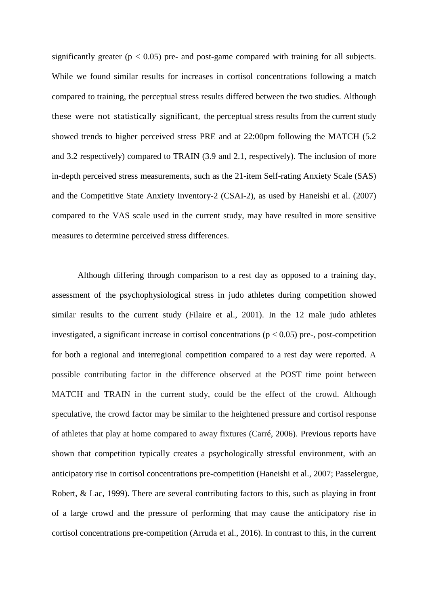significantly greater ( $p < 0.05$ ) pre- and post-game compared with training for all subjects. While we found similar results for increases in cortisol concentrations following a match compared to training, the perceptual stress results differed between the two studies. Although these were not statistically significant, the perceptual stress results from the current study showed trends to higher perceived stress PRE and at 22:00pm following the MATCH (5.2 and 3.2 respectively) compared to TRAIN (3.9 and 2.1, respectively). The inclusion of more in-depth perceived stress measurements, such as the 21-item Self-rating Anxiety Scale (SAS) and the Competitive State Anxiety Inventory-2 (CSAI-2), as used by Haneishi et al. (2007) compared to the VAS scale used in the current study, may have resulted in more sensitive measures to determine perceived stress differences.

Although differing through comparison to a rest day as opposed to a training day, assessment of the psychophysiological stress in judo athletes during competition showed similar results to the current study (Filaire et al., 2001). In the 12 male judo athletes investigated, a significant increase in cortisol concentrations ( $p < 0.05$ ) pre-, post-competition for both a regional and interregional competition compared to a rest day were reported. A possible contributing factor in the difference observed at the POST time point between MATCH and TRAIN in the current study, could be the effect of the crowd. Although speculative, the crowd factor may be similar to the heightened pressure and cortisol response of athletes that play at home compared to away fixtures (Carré, 2006). Previous reports have shown that competition typically creates a psychologically stressful environment, with an anticipatory rise in cortisol concentrations pre-competition (Haneishi et al., 2007; Passelergue, Robert, & Lac, 1999). There are several contributing factors to this, such as playing in front of a large crowd and the pressure of performing that may cause the anticipatory rise in cortisol concentrations pre-competition (Arruda et al., 2016). In contrast to this, in the current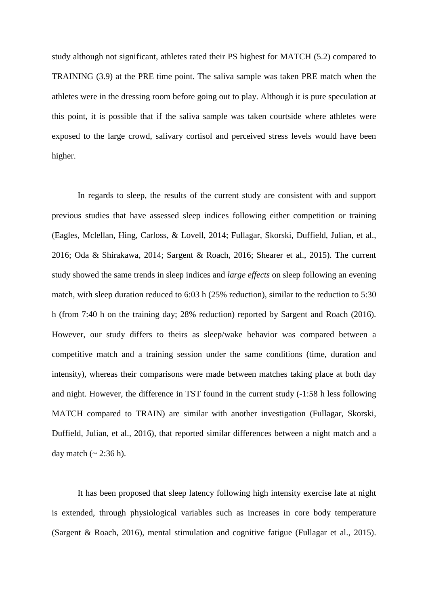study although not significant, athletes rated their PS highest for MATCH (5.2) compared to TRAINING (3.9) at the PRE time point. The saliva sample was taken PRE match when the athletes were in the dressing room before going out to play. Although it is pure speculation at this point, it is possible that if the saliva sample was taken courtside where athletes were exposed to the large crowd, salivary cortisol and perceived stress levels would have been higher.

In regards to sleep, the results of the current study are consistent with and support previous studies that have assessed sleep indices following either competition or training (Eagles, Mclellan, Hing, Carloss, & Lovell, 2014; Fullagar, Skorski, Duffield, Julian, et al., 2016; Oda & Shirakawa, 2014; Sargent & Roach, 2016; Shearer et al., 2015). The current study showed the same trends in sleep indices and *large effects* on sleep following an evening match, with sleep duration reduced to 6:03 h (25% reduction), similar to the reduction to 5:30 h (from 7:40 h on the training day; 28% reduction) reported by Sargent and Roach (2016). However, our study differs to theirs as sleep/wake behavior was compared between a competitive match and a training session under the same conditions (time, duration and intensity), whereas their comparisons were made between matches taking place at both day and night. However, the difference in TST found in the current study (-1:58 h less following MATCH compared to TRAIN) are similar with another investigation (Fullagar, Skorski, Duffield, Julian, et al., 2016), that reported similar differences between a night match and a day match  $({\sim} 2:36 \text{ h})$ .

It has been proposed that sleep latency following high intensity exercise late at night is extended, through physiological variables such as increases in core body temperature (Sargent & Roach, 2016), mental stimulation and cognitive fatigue (Fullagar et al., 2015).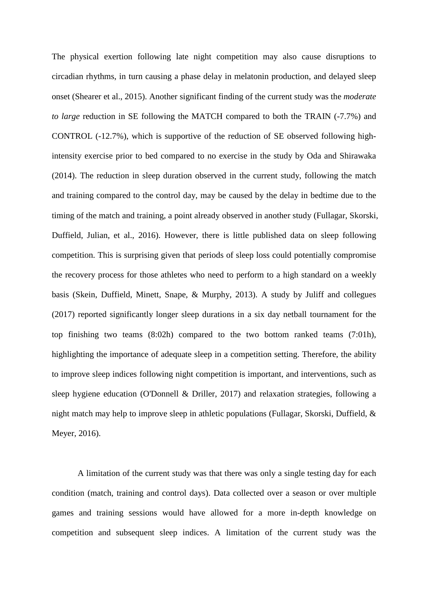The physical exertion following late night competition may also cause disruptions to circadian rhythms, in turn causing a phase delay in melatonin production, and delayed sleep onset (Shearer et al., 2015). Another significant finding of the current study was the *moderate to large* reduction in SE following the MATCH compared to both the TRAIN (-7.7%) and CONTROL (-12.7%), which is supportive of the reduction of SE observed following highintensity exercise prior to bed compared to no exercise in the study by Oda and Shirawaka (2014). The reduction in sleep duration observed in the current study, following the match and training compared to the control day, may be caused by the delay in bedtime due to the timing of the match and training, a point already observed in another study (Fullagar, Skorski, Duffield, Julian, et al., 2016). However, there is little published data on sleep following competition. This is surprising given that periods of sleep loss could potentially compromise the recovery process for those athletes who need to perform to a high standard on a weekly basis (Skein, Duffield, Minett, Snape, & Murphy, 2013). A study by Juliff and collegues (2017) reported significantly longer sleep durations in a six day netball tournament for the top finishing two teams (8:02h) compared to the two bottom ranked teams (7:01h), highlighting the importance of adequate sleep in a competition setting. Therefore, the ability to improve sleep indices following night competition is important, and interventions, such as sleep hygiene education (O'Donnell & Driller, 2017) and relaxation strategies, following a night match may help to improve sleep in athletic populations (Fullagar, Skorski, Duffield, & Meyer, 2016).

A limitation of the current study was that there was only a single testing day for each condition (match, training and control days). Data collected over a season or over multiple games and training sessions would have allowed for a more in-depth knowledge on competition and subsequent sleep indices. A limitation of the current study was the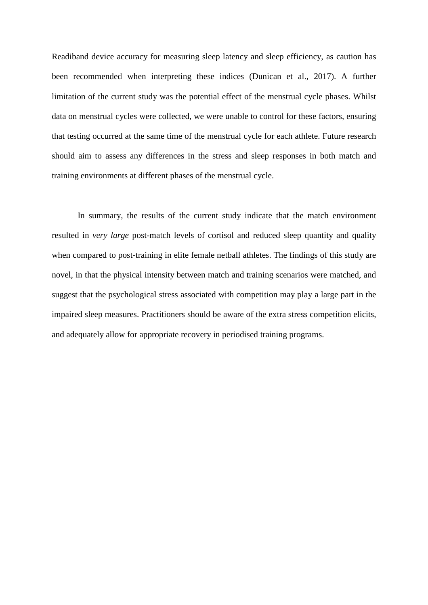Readiband device accuracy for measuring sleep latency and sleep efficiency, as caution has been recommended when interpreting these indices (Dunican et al., 2017). A further limitation of the current study was the potential effect of the menstrual cycle phases. Whilst data on menstrual cycles were collected, we were unable to control for these factors, ensuring that testing occurred at the same time of the menstrual cycle for each athlete. Future research should aim to assess any differences in the stress and sleep responses in both match and training environments at different phases of the menstrual cycle.

In summary, the results of the current study indicate that the match environment resulted in *very large* post-match levels of cortisol and reduced sleep quantity and quality when compared to post-training in elite female netball athletes. The findings of this study are novel, in that the physical intensity between match and training scenarios were matched, and suggest that the psychological stress associated with competition may play a large part in the impaired sleep measures. Practitioners should be aware of the extra stress competition elicits, and adequately allow for appropriate recovery in periodised training programs.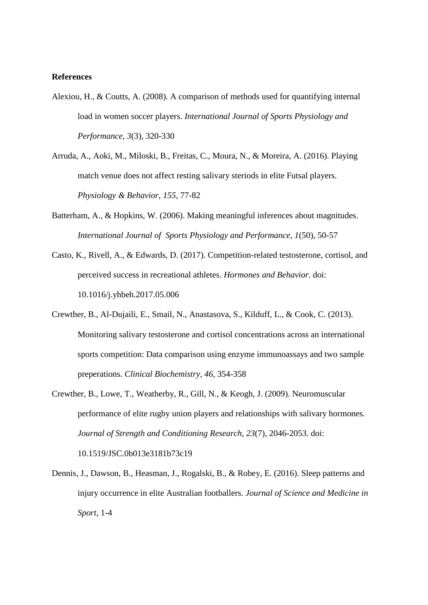#### **References**

- Alexiou, H., & Coutts, A. (2008). A comparison of methods used for quantifying internal load in women soccer players. *International Journal of Sports Physiology and Performance, 3*(3), 320-330
- Arruda, A., Aoki, M., Miloski, B., Freitas, C., Moura, N., & Moreira, A. (2016). Playing match venue does not affect resting salivary steriods in elite Futsal players. *Physiology & Behavior, 155*, 77-82
- Batterham, A., & Hopkins, W. (2006). Making meaningful inferences about magnitudes. *International Journal of Sports Physiology and Performance, 1*(50), 50-57
- Casto, K., Rivell, A., & Edwards, D. (2017). Competition-related testosterone, cortisol, and perceived success in recreational athletes. *Hormones and Behavior*. doi: 10.1016/j.yhbeh.2017.05.006
- Crewther, B., Al-Dujaili, E., Smail, N., Anastasova, S., Kilduff, L., & Cook, C. (2013). Monitoring salivary testosterone and cortisol concentrations across an international sports competition: Data comparison using enzyme immunoassays and two sample preperations. *Clinical Biochemistry, 46*, 354-358
- Crewther, B., Lowe, T., Weatherby, R., Gill, N., & Keogh, J. (2009). Neuromuscular performance of elite rugby union players and relationships with salivary hormones. *Journal of Strength and Conditioning Research, 23*(7), 2046-2053. doi: 10.1519/JSC.0b013e3181b73c19
- Dennis, J., Dawson, B., Heasman, J., Rogalski, B., & Robey, E. (2016). Sleep patterns and injury occurrence in elite Australian footballers. *Journal of Science and Medicine in Sport*, 1-4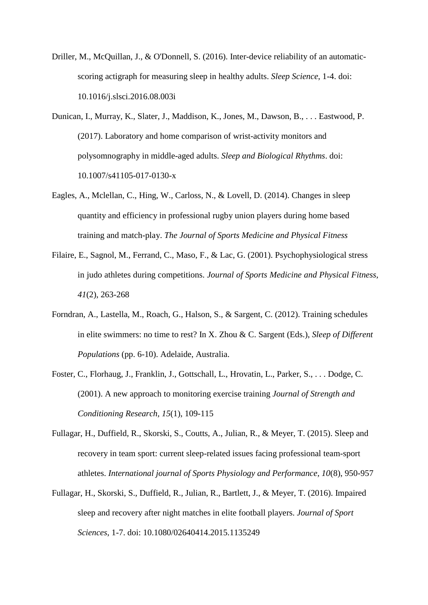- Driller, M., McQuillan, J., & O'Donnell, S. (2016). Inter-device reliability of an automaticscoring actigraph for measuring sleep in healthy adults. *Sleep Science*, 1-4. doi: 10.1016/j.slsci.2016.08.003i
- Dunican, I., Murray, K., Slater, J., Maddison, K., Jones, M., Dawson, B., . . . Eastwood, P. (2017). Laboratory and home comparison of wrist-activity monitors and polysomnography in middle-aged adults. *Sleep and Biological Rhythms*. doi: 10.1007/s41105-017-0130-x
- Eagles, A., Mclellan, C., Hing, W., Carloss, N., & Lovell, D. (2014). Changes in sleep quantity and efficiency in professional rugby union players during home based training and match-play. *The Journal of Sports Medicine and Physical Fitness*
- Filaire, E., Sagnol, M., Ferrand, C., Maso, F., & Lac, G. (2001). Psychophysiological stress in judo athletes during competitions. *Journal of Sports Medicine and Physical Fitness, 41*(2), 263-268
- Forndran, A., Lastella, M., Roach, G., Halson, S., & Sargent, C. (2012). Training schedules in elite swimmers: no time to rest? In X. Zhou & C. Sargent (Eds.), *Sleep of Different Populations* (pp. 6-10). Adelaide, Australia.
- Foster, C., Florhaug, J., Franklin, J., Gottschall, L., Hrovatin, L., Parker, S., . . . Dodge, C. (2001). A new approach to monitoring exercise training *Journal of Strength and Conditioning Research, 15*(1), 109-115
- Fullagar, H., Duffield, R., Skorski, S., Coutts, A., Julian, R., & Meyer, T. (2015). Sleep and recovery in team sport: current sleep-related issues facing professional team-sport athletes. *International journal of Sports Physiology and Performance, 10*(8), 950-957
- Fullagar, H., Skorski, S., Duffield, R., Julian, R., Bartlett, J., & Meyer, T. (2016). Impaired sleep and recovery after night matches in elite football players. *Journal of Sport Sciences*, 1-7. doi: 10.1080/02640414.2015.1135249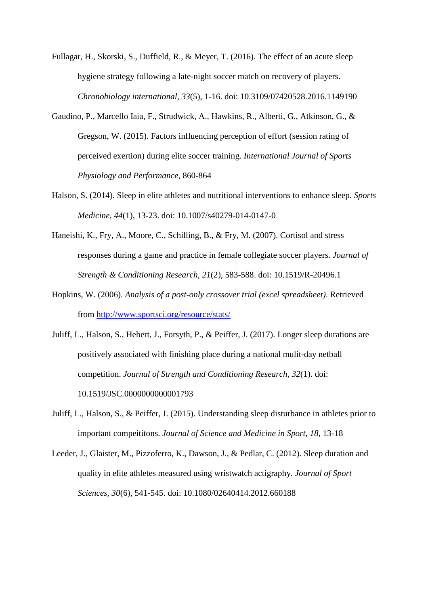Fullagar, H., Skorski, S., Duffield, R., & Meyer, T. (2016). The effect of an acute sleep hygiene strategy following a late-night soccer match on recovery of players. *Chronobiology international, 33*(5), 1-16. doi: 10.3109/07420528.2016.1149190

- Gaudino, P., Marcello Iaia, F., Strudwick, A., Hawkins, R., Alberti, G., Atkinson, G., & Gregson, W. (2015). Factors influencing perception of effort (session rating of perceived exertion) during elite soccer training. *International Journal of Sports Physiology and Performance*, 860-864
- Halson, S. (2014). Sleep in elite athletes and nutritional interventions to enhance sleep. *Sports Medicine, 44*(1), 13-23. doi: 10.1007/s40279-014-0147-0
- Haneishi, K., Fry, A., Moore, C., Schilling, B., & Fry, M. (2007). Cortisol and stress responses during a game and practice in female collegiate soccer players. *Journal of Strength & Conditioning Research, 21*(2), 583-588. doi: 10.1519/R-20496.1
- Hopkins, W. (2006). *Analysis of a post-only crossover trial (excel spreadsheet)*. Retrieved from<http://www.sportsci.org/resource/stats/>
- Juliff, L., Halson, S., Hebert, J., Forsyth, P., & Peiffer, J. (2017). Longer sleep durations are positively associated with finishing place during a national mulit-day netball competition. *Journal of Strength and Conditioning Research, 32*(1). doi: 10.1519/JSC.0000000000001793
- Juliff, L., Halson, S., & Peiffer, J. (2015). Understanding sleep disturbance in athletes prior to important compeititons. *Journal of Science and Medicine in Sport, 18*, 13-18
- Leeder, J., Glaister, M., Pizzoferro, K., Dawson, J., & Pedlar, C. (2012). Sleep duration and quality in elite athletes measured using wristwatch actigraphy. *Journal of Sport Sciences, 30*(6), 541-545. doi: 10.1080/02640414.2012.660188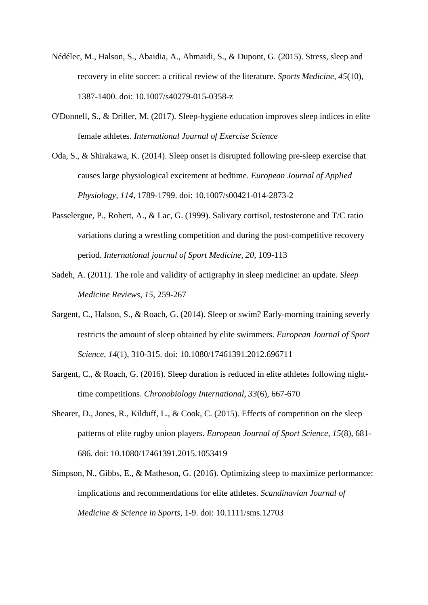- Nédélec, M., Halson, S., Abaidia, A., Ahmaidi, S., & Dupont, G. (2015). Stress, sleep and recovery in elite soccer: a critical review of the literature. *Sports Medicine, 45*(10), 1387-1400. doi: 10.1007/s40279-015-0358-z
- O'Donnell, S., & Driller, M. (2017). Sleep-hygiene education improves sleep indices in elite female athletes. *International Journal of Exercise Science*
- Oda, S., & Shirakawa, K. (2014). Sleep onset is disrupted following pre-sleep exercise that causes large physiological excitement at bedtime. *European Journal of Applied Physiology, 114*, 1789-1799. doi: 10.1007/s00421-014-2873-2
- Passelergue, P., Robert, A., & Lac, G. (1999). Salivary cortisol, testosterone and T/C ratio variations during a wrestling competition and during the post-competitive recovery period. *International journal of Sport Medicine, 20*, 109-113
- Sadeh, A. (2011). The role and validity of actigraphy in sleep medicine: an update. *Sleep Medicine Reviews, 15*, 259-267
- Sargent, C., Halson, S., & Roach, G. (2014). Sleep or swim? Early-morning training severly restricts the amount of sleep obtained by elite swimmers. *European Journal of Sport Science, 14*(1), 310-315. doi: 10.1080/17461391.2012.696711
- Sargent, C., & Roach, G. (2016). Sleep duration is reduced in elite athletes following nighttime competitions. *Chronobiology International, 33*(6), 667-670
- Shearer, D., Jones, R., Kilduff, L., & Cook, C. (2015). Effects of competition on the sleep patterns of elite rugby union players. *European Journal of Sport Science, 15*(8), 681- 686. doi: 10.1080/17461391.2015.1053419
- Simpson, N., Gibbs, E., & Matheson, G. (2016). Optimizing sleep to maximize performance: implications and recommendations for elite athletes. *Scandinavian Journal of Medicine & Science in Sports*, 1-9. doi: 10.1111/sms.12703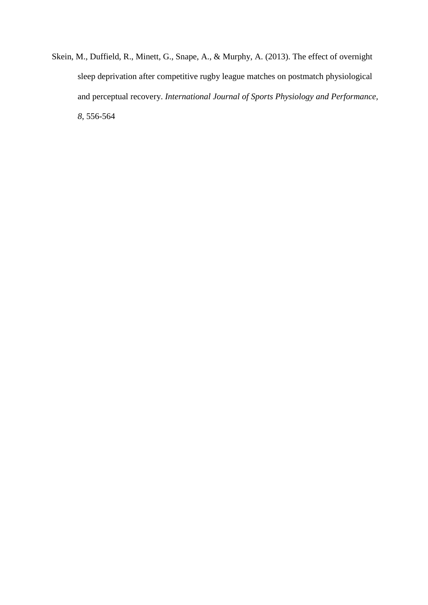Skein, M., Duffield, R., Minett, G., Snape, A., & Murphy, A. (2013). The effect of overnight sleep deprivation after competitive rugby league matches on postmatch physiological and perceptual recovery. *International Journal of Sports Physiology and Performance, 8*, 556-564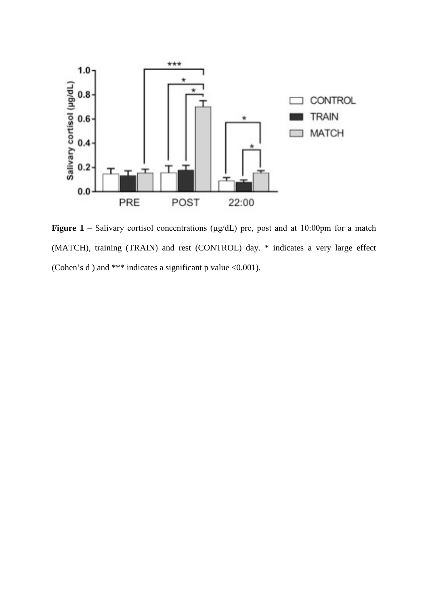

**Figure 1** – Salivary cortisol concentrations (μg/dL) pre, post and at 10:00pm for a match (MATCH), training (TRAIN) and rest (CONTROL) day. \* indicates a very large effect (Cohen's d) and \*\*\* indicates a significant p value  $<0.001$ ).